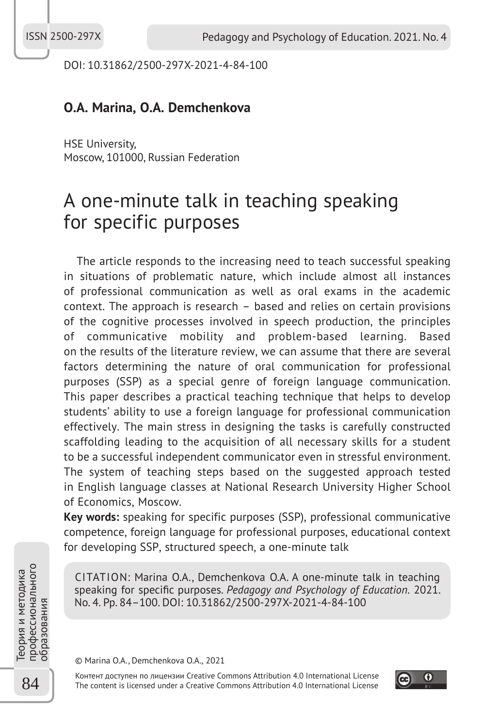DOI: 10.31862/2500-297X-2021-4-84-100

## **O.A. Marina, O.A. Demchenkova**

HSE University, Moscow, 101000, Russian Federation

# A one-minute talk in teaching speaking for specific purposes

The article responds to the increasing need to teach successful speaking in situations of problematic nature, which include almost all instances of professional communication as well as oral exams in the academic context. The approach is research – based and relies on certain provisions of the cognitive processes involved in speech production, the principles of communicative mobility and problem-based learning. Based on the results of the literature review, we can assume that there are several factors determining the nature of oral communication for professional purposes (SSP) as a special genre of foreign language communication. This paper describes a practical teaching technique that helps to develop students' ability to use a foreign language for professional communication effectively. The main stress in designing the tasks is carefully constructed scaffolding leading to the acquisition of all necessary skills for a student to be a successful independent communicator even in stressful environment. The system of teaching steps based on the suggested approach tested in English language classes at National Research University Higher School of Economics, Moscow.

**Key words:** speaking for specific purposes (SSP), professional communicative competence, foreign language for professional purposes, educational context for developing SSP, structured speech, a one-minute talk

CITATION: Marina O.A., Demchenkova O.A. A one-minute talk in teaching speaking for specific purposes. *Pedagogy and Psychology of Education*. 2021. No. 4. Pp. 84–100. DOI: 10.31862/2500-297X-2021-4-84-100

© Marina O.A., Demchenkova O.A., 2021

Контент доступен по лицензии Creative Commons Attribution 4.0 International License The content is licensed under a Creative Commons Attribution 4.0 International License



Теория и методика<br>22 Профессионального<br>образования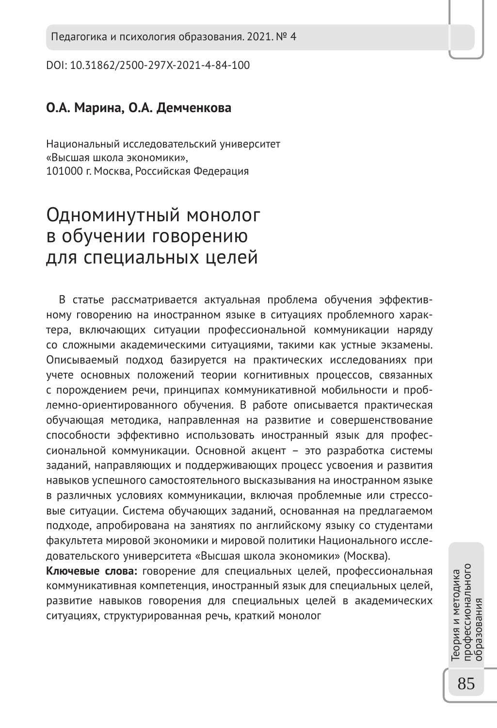Педагогика и психология образования. 2021. № 4

DOI: 10.31862/2500-297X-2021-4-84-100

## **О.А. Марина, О.А. Демченкова**

Национальный исследовательский университет «Высшая школа экономики», 101000 г. Москва, Российская Федерация

## Одноминутный монолог в обучении говорению для специальных целей

В статье рассматривается актуальная проблема обучения эффективному говорению на иностранном языке в ситуациях проблемного характера, включающих ситуации профессиональной коммуникации наряду со сложными академическими ситуациями, такими как устные экзамены. Описываемый подход базируется на практических исследованиях при учете основных положений теории когнитивных процессов, связанных с порождением речи, принципах коммуникативной мобильности и проблемно-ориентированного обучения. В работе описывается практическая обучающая методика, направленная на развитие и совершенствование способности эффективно использовать иностранный язык для профессиональной коммуникации. Основной акцент – это разработка системы заданий, направляющих и поддерживающих процесс усвоения и развития навыков успешного самостоятельного высказывания на иностранном языке в различных условиях коммуникации, включая проблемные или стрессовые ситуации. Система обучающих заданий, основанная на предлагаемом подходе, апробирована на занятиях по английскому языку со студентами факультета мировой экономики и мировой политики Национального исследовательского университета «Высшая школа экономики» (Москва).

**Ключевые слова:** говорение для специальных целей, профессиональная коммуникативная компетенция, иностранный язык для специальных целей, развитие навыков говорения для специальных целей в академических ситуациях, структурированная речь, краткий монолог

профессионального<br>образования профессионального Теория и методика еория и методика образования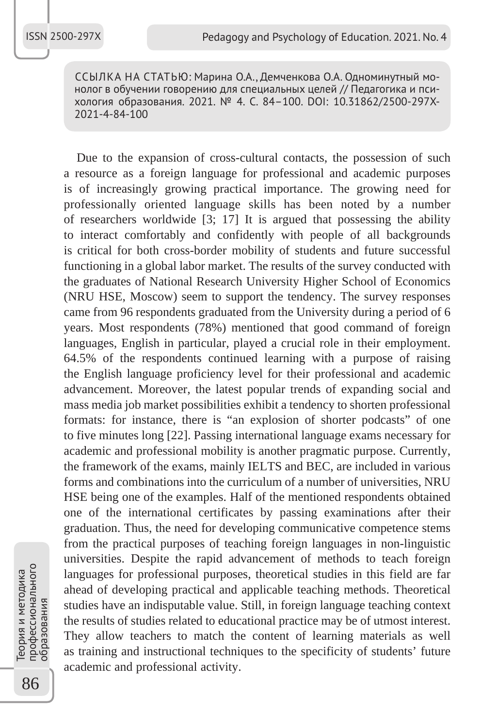ССЫЛКА НА СТАТЬЮ: Марина О.А., Демченкова О.А. Одноминутный монолог в обучении говорению для специальных целей // Педагогика и психология образования. 2021. № 4. С. 84–100. DOI: 10.31862/2500-297X-2021-4-84-100

Due to the expansion of cross-cultural contacts, the possession of such a resource as a foreign language for professional and academic purposes is of increasingly growing practical importance. The growing need for professionally oriented language skills has been noted by a number of researchers worldwide [3; 17] It is argued that possessing the ability to interact comfortably and confidently with people of all backgrounds is critical for both cross-border mobility of students and future successful functioning in a global labor market. The results of the survey conducted with the graduates of National Research University Higher School of Economics (NRU HSE, Moscow) seem to support the tendency. The survey responses came from 96 respondents graduated from the University during a period of 6 years. Most respondents (78%) mentioned that good command of foreign languages, English in particular, played a crucial role in their employment. 64.5% of the respondents continued learning with a purpose of raising the English language proficiency level for their professional and academic advancement. Moreover, the latest popular trends of expanding social and mass media job market possibilities exhibit a tendency to shorten professional formats: for instance, there is "an explosion of shorter podcasts" of one to five minutes long [22]. Passing international language exams necessary for academic and professional mobility is another pragmatic purpose. Currently, the framework of the exams, mainly IELTS and BEC, are included in various forms and combinations into the curriculum of a number of universities, NRU HSE being one of the examples. Half of the mentioned respondents obtained one of the international certificates by passing examinations after their graduation. Thus, the need for developing communicative competence stems from the practical purposes of teaching foreign languages in non-linguistic universities. Despite the rapid advancement of methods to teach foreign languages for professional purposes, theoretical studies in this field are far ahead of developing practical and applicable teaching methods. Theoretical studies have an indisputable value. Still, in foreign language teaching context the results of studies related to educational practice may be of utmost interest. They allow teachers to match the content of learning materials as well as training and instructional techniques to the specificity of students' future academic and professional activity.

86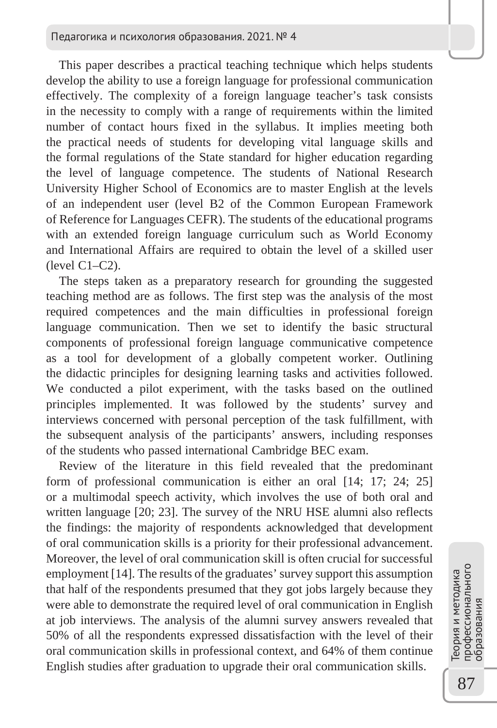This paper describes a practical teaching technique which helps students develop the ability to use a foreign language for professional communication effectively. The complexity of a foreign language teacher's task consists in the necessity to comply with a range of requirements within the limited number of contact hours fixed in the syllabus. It implies meeting both the practical needs of students for developing vital language skills and the formal regulations of the State standard for higher education regarding the level of language competence. The students of National Research University Higher School of Economics are to master English at the levels of an independent user (level B2 of the Common European Framework of Reference for Languages CEFR). The students of the educational programs with an extended foreign language curriculum such as World Economy and International Affairs are required to obtain the level of a skilled user (level C1–C2).

The steps taken as a preparatory research for grounding the suggested teaching method are as follows. The first step was the analysis of the most required competences and the main difficulties in professional foreign language communication. Then we set to identify the basic structural components of professional foreign language communicative competence as a tool for development of a globally competent worker. Outlining the didactic principles for designing learning tasks and activities followed. We conducted a pilot experiment, with the tasks based on the outlined principles implemented. It was followed by the students' survey and interviews concerned with personal perception of the task fulfillment, with the subsequent analysis of the participants' answers, including responses of the students who passed international Cambridge BEC exam.

Review of the literature in this field revealed that the predominant form of professional communication is either an oral [14; 17; 24; 25] or a multimodal speech activity, which involves the use of both oral and written language [20; 23]. The survey of the NRU HSE alumni also reflects the findings: the majority of respondents acknowledged that development of oral communication skills is a priority for their professional advancement. Moreover, the level of oral communication skill is often crucial for successful employment [14]. The results of the graduates' survey support this assumption that half of the respondents presumed that they got jobs largely because they were able to demonstrate the required level of oral communication in English at job interviews. The analysis of the alumni survey answers revealed that 50% of all the respondents expressed dissatisfaction with the level of their oral communication skills in professional context, and 64% of them continue English studies after graduation to upgrade their oral communication skills.

профессионального профессионального Теория и методика Геория и методика бразования образования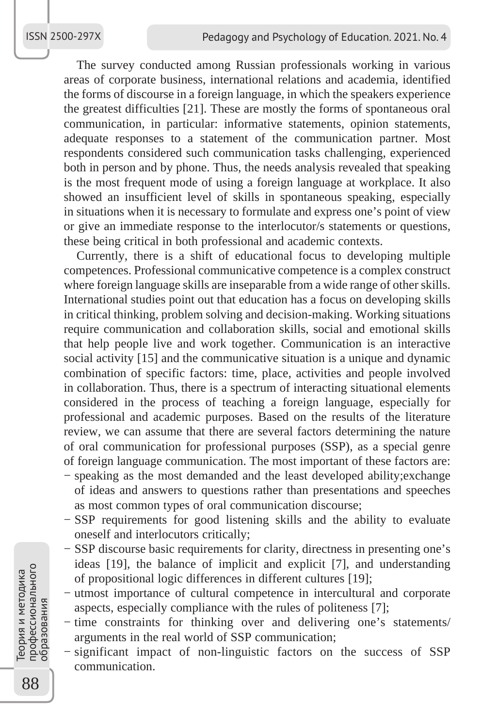The survey conducted among Russian professionals working in various areas of corporate business, international relations and academia, identified the forms of discourse in a foreign language, in which the speakers experience the greatest difficulties [21]. These are mostly the forms of spontaneous oral communication, in particular: informative statements, opinion statements, adequate responses to a statement of the communication partner. Most respondents considered such communication tasks challenging, experienced both in person and by phone. Thus, the needs analysis revealed that speaking is the most frequent mode of using a foreign language at workplace. It also showed an insufficient level of skills in spontaneous speaking, especially in situations when it is necessary to formulate and express one's point of view or give an immediate response to the interlocutor/s statements or questions, these being critical in both professional and academic contexts.

Currently, there is a shift of educational focus to developing multiple competences. Professional communicative competence is a complex construct where foreign language skills are inseparable from a wide range of other skills. International studies point out that education has a focus on developing skills in critical thinking, problem solving and decision-making. Working situations require communication and collaboration skills, social and emotional skills that help people live and work together. Communication is an interactive social activity [15] and the communicative situation is a unique and dynamic combination of specific factors: time, place, activities and people involved in collaboration. Thus, there is a spectrum of interacting situational elements considered in the process of teaching a foreign language, especially for professional and academic purposes. Based on the results of the literature review, we can assume that there are several factors determining the nature of oral communication for professional purposes (SSP), as a special genre of foreign language communication. The most important of these factors are: − speaking as the most demanded and the least developed ability;exchange

- of ideas and answers to questions rather than presentations and speeches as most common types of oral communication discourse;
- − SSP requirements for good listening skills and the ability to evaluate oneself and interlocutors critically;
- − SSP discourse basic requirements for clarity, directness in presenting one's ideas [19], the balance of implicit and explicit [7], and understanding of propositional logic differences in different cultures [19];
- − utmost importance of cultural competence in intercultural and corporate aspects, especially compliance with the rules of politeness [7];
- − time constraints for thinking over and delivering one's statements/ arguments in the real world of SSP communication;
- − significant impact of non-linguistic factors on the success of SSP communication.

88Теория и методика профессионального профессионального Геория и методика бразования образования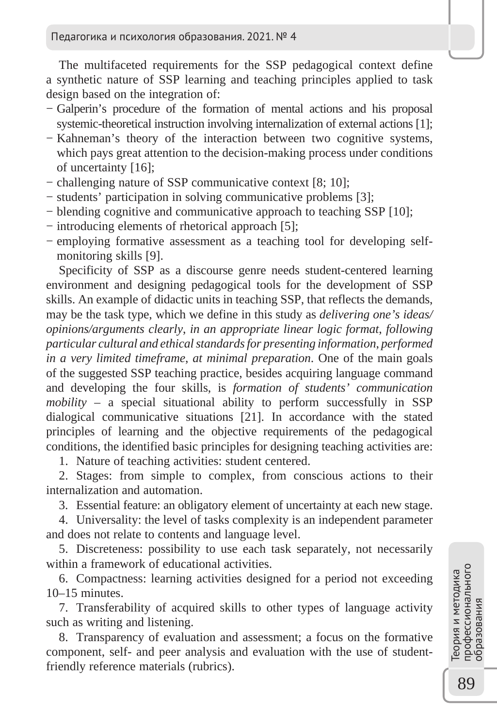The multifaceted requirements for the SSP pedagogical context define a synthetic nature of SSP learning and teaching principles applied to task design based on the integration of:

- − Galperin's procedure of the formation of mental actions and his proposal systemic-theoretical instruction involving internalization of external actions [1];
- − Kahneman's theory of the interaction between two cognitive systems, which pays great attention to the decision-making process under conditions of uncertainty [16];
- − challenging nature of SSP communicative context [8; 10];
- − students' participation in solving communicative problems [3];
- − blending cognitive and communicative approach to teaching SSP [10];
- − introducing elements of rhetorical approach [5];
- − employing formative assessment as a teaching tool for developing selfmonitoring skills [9].

Specificity of SSP as a discourse genre needs student-centered learning environment and designing pedagogical tools for the development of SSP skills. An example of didactic units in teaching SSP, that reflects the demands, may be the task type, which we define in this study as *delivering one's ideas/ opinions/arguments clearly*, *in an appropriate linear logic format*, *following particular cultural and ethical standards for presenting information*, *performed in a very limited timeframe*, *at minimal preparation*. One of the main goals of the suggested SSP teaching practice, besides acquiring language command and developing the four skills, is *formation of students' communication mobility –* a special situational ability to perform successfully in SSP dialogical communicative situations [21]. In accordance with the stated principles of learning and the objective requirements of the pedagogical conditions, the identified basic principles for designing teaching activities are:

1. Nature of teaching activities: student centered.

2. Stages: from simple to complex, from conscious actions to their internalization and automation.

3. Essential feature: an obligatory element of uncertainty at each new stage.

4. Universality: the level of tasks complexity is an independent parameter and does not relate to contents and language level.

5. Discreteness: possibility to use each task separately, not necessarily within a framework of educational activities.

6. Compactness: learning activities designed for a period not exceeding 10–15 minutes.

7. Transferability of acquired skills to other types of language activity such as writing and listening.

8. Transparency of evaluation and assessment; a focus on the formative component, self- and peer analysis and evaluation with the use of studentfriendly reference materials (rubrics).

профессионального профессионального<br>образования Теория и методика Геория и методика образования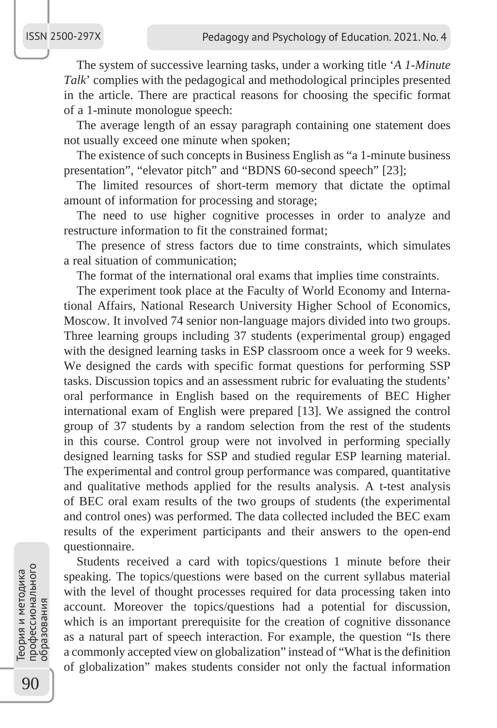#### ISSN 2500-297X

The system of successive learning tasks, under a working title '*A 1-Minute Talk*' complies with the pedagogical and methodological principles presented in the article. There are practical reasons for choosing the specific format of a 1-minute monologue speech:

The average length of an essay paragraph containing one statement does not usually exceed one minute when spoken;

The existence of such concepts in Business English as "a 1-minute business presentation", "elevator pitch" and "BDNS 60-second speech" [23];

The limited resources of short-term memory that dictate the optimal amount of information for processing and storage;

The need to use higher cognitive processes in order to analyze and restructure information to fit the constrained format;

The presence of stress factors due to time constraints, which simulates a real situation of communication;

The format of the international oral exams that implies time constraints.

The experiment took place at the Faculty of World Economy and International Affairs, National Research University Higher School of Economics, Moscow. It involved 74 senior non-language majors divided into two groups. Three learning groups including 37 students (experimental group) engaged with the designed learning tasks in ESP classroom once a week for 9 weeks. We designed the cards with specific format questions for performing SSP tasks. Discussion topics and an assessment rubric for evaluating the students' oral performance in English based on the requirements of BEC Higher international exam of English were prepared [13]. We assigned the control group of 37 students by a random selection from the rest of the students in this course. Control group were not involved in performing specially designed learning tasks for SSP and studied regular ESP learning material. The experimental and control group performance was compared, quantitative and qualitative methods applied for the results analysis. A t-test analysis of BEC oral exam results of the two groups of students (the experimental and control ones) was performed. The data collected included the BEC exam results of the experiment participants and their answers to the open-end questionnaire.

Students received a card with topics/questions 1 minute before their speaking. The topics/questions were based on the current syllabus material with the level of thought processes required for data processing taken into account. Moreover the topics/questions had a potential for discussion, which is an important prerequisite for the creation of cognitive dissonance as a natural part of speech interaction. For example, the question "Is there a commonly accepted view on globalization" instead of "What is the definition of globalization" makes students consider not only the factual information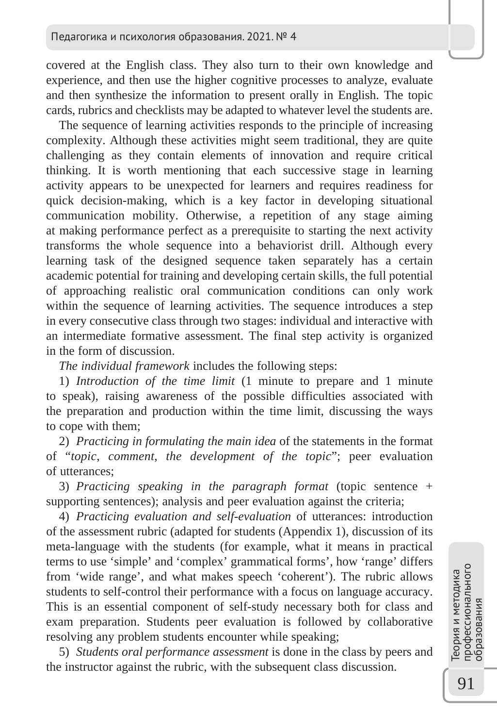covered at the English class. They also turn to their own knowledge and experience, and then use the higher cognitive processes to analyze, evaluate and then synthesize the information to present orally in English. The topic cards, rubrics and checklists may be adapted to whatever level the students are.

The sequence of learning activities responds to the principle of increasing complexity. Although these activities might seem traditional, they are quite challenging as they contain elements of innovation and require critical thinking. It is worth mentioning that each successive stage in learning activity appears to be unexpected for learners and requires readiness for quick decision-making, which is a key factor in developing situational communication mobility. Otherwise, a repetition of any stage aiming at making performance perfect as a prerequisite to starting the next activity transforms the whole sequence into a behaviorist drill. Although every learning task of the designed sequence taken separately has a certain academic potential for training and developing certain skills, the full potential of approaching realistic oral communication conditions can only work within the sequence of learning activities. The sequence introduces a step in every consecutive class through two stages: individual and interactive with an intermediate formative assessment. The final step activity is organized in the form of discussion.

*The individual framework* includes the following steps:

1) *Introduction of the time limit* (1 minute to prepare and 1 minute to speak), raising awareness of the possible difficulties associated with the preparation and production within the time limit, discussing the ways to cope with them;

2) *Practicing in formulating the main idea* of the statements in the format of "*topic*, *comment*, *the development of the topic*"; peer evaluation of utterances;

3) *Practicing speaking in the paragraph format* (topic sentence + supporting sentences); analysis and peer evaluation against the criteria;

4) *Practicing evaluation and self-evaluation* of utterances: introduction of the assessment rubric (adapted for students (Appendix 1), discussion of its meta-language with the students (for example, what it means in practical terms to use 'simple' and 'complex' grammatical forms', how 'range' differs from 'wide range', and what makes speech 'coherent'). The rubric allows students to self-control their performance with a focus on language accuracy. This is an essential component of self-study necessary both for class and exam preparation. Students peer evaluation is followed by collaborative resolving any problem students encounter while speaking;

5) *Students oral performance assessment* is done in the class by peers and the instructor against the rubric, with the subsequent class discussion.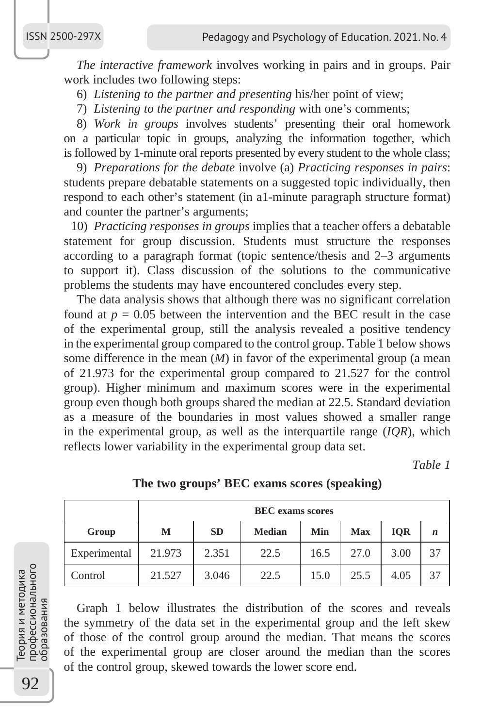*The interactive framework* involves working in pairs and in groups. Pair work includes two following steps:

6) *Listening to the partner and presenting* his/her point of view;

7) *Listening to the partner and responding* with one's comments;

8) *Work in groups* involves students' presenting their oral homework on a particular topic in groups, analyzing the information together, which is followed by 1-minute oral reports presented by every student to the whole class;

9) *Preparations for the debate* involve (a) *Practicing responses in pairs*: students prepare debatable statements on a suggested topic individually, then respond to each other's statement (in a1-minute paragraph structure format) and counter the partner's arguments;

10) *Practicing responses in groups* implies that a teacher offers a debatable statement for group discussion. Students must structure the responses according to a paragraph format (topic sentence/thesis and 2–3 arguments to support it). Class discussion of the solutions to the communicative problems the students may have encountered concludes every step.

The data analysis shows that although there was no significant correlation found at  $p = 0.05$  between the intervention and the BEC result in the case of the experimental group, still the analysis revealed a positive tendency in the experimental group compared to the control group. Table 1 below shows some difference in the mean (*M*) in favor of the experimental group (a mean of 21.973 for the experimental group compared to 21.527 for the control group). Higher minimum and maximum scores were in the experimental group even though both groups shared the median at 22.5. Standard deviation as a measure of the boundaries in most values showed a smaller range in the experimental group, as well as the interquartile range (*IQR*), which reflects lower variability in the experimental group data set.

*Table 1*

|              | <b>BEC</b> exams scores |           |        |      |            |            |             |
|--------------|-------------------------|-----------|--------|------|------------|------------|-------------|
| Group        | м                       | <b>SD</b> | Median | Min  | <b>Max</b> | <b>IOR</b> | $\mathbf n$ |
| Experimental | 21.973                  | 2.351     | 22.5   | 16.5 | 27.0       | 3.00       | 37          |
| Control      | 21.527                  | 3.046     | 22.5   | 15.0 | 25.5       | 4.05       | 37          |

**The two groups' BEC exams scores (speaking)**

Graph 1 below illustrates the distribution of the scores and reveals the symmetry of the data set in the experimental group and the left skew of those of the control group around the median. That means the scores of the experimental group are closer around the median than the scores of the control group, skewed towards the lower score end.

92Теория и методика профессионального профессионального Геория и методика **Бразования** образования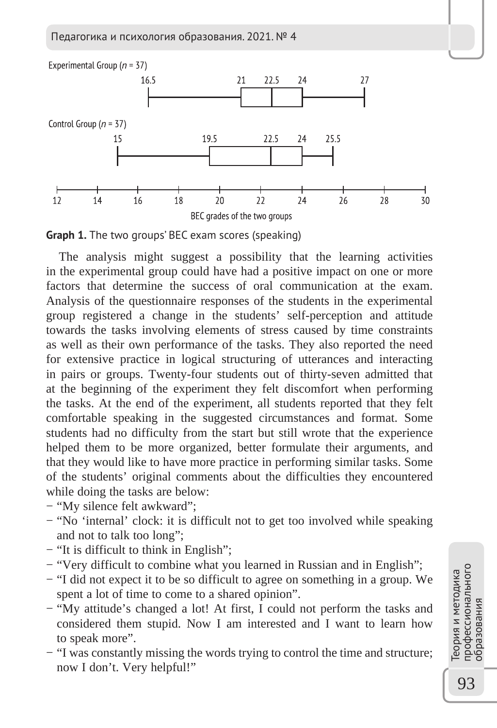Педагогика и психология образования. 2021. № 4





The analysis might suggest a possibility that the learning activities in the experimental group could have had a positive impact on one or more factors that determine the success of oral communication at the exam. Analysis of the questionnaire responses of the students in the experimental group registered a change in the students' self-perception and attitude towards the tasks involving elements of stress caused by time constraints as well as their own performance of the tasks. They also reported the need for extensive practice in logical structuring of utterances and interacting in pairs or groups. Twenty-four students out of thirty-seven admitted that at the beginning of the experiment they felt discomfort when performing the tasks. At the end of the experiment, all students reported that they felt comfortable speaking in the suggested circumstances and format. Some students had no difficulty from the start but still wrote that the experience helped them to be more organized, better formulate their arguments, and that they would like to have more practice in performing similar tasks. Some of the students' original comments about the difficulties they encountered while doing the tasks are below:

- − "My silence felt awkward";
- − "No 'internal' clock: it is difficult not to get too involved while speaking and not to talk too long";
- − "It is difficult to think in English";
- − "Very difficult to combine what you learned in Russian and in English";
- − "I did not expect it to be so difficult to agree on something in a group. We spent a lot of time to come to a shared opinion".
- − "My attitude's changed a lot! At first, I could not perform the tasks and considered them stupid. Now I am interested and I want to learn how to speak more".
- − "I was constantly missing the words trying to control the time and structure; now I don't. Very helpful!"

профессионального<br>образования профессионального Теория и методика еория и методика образования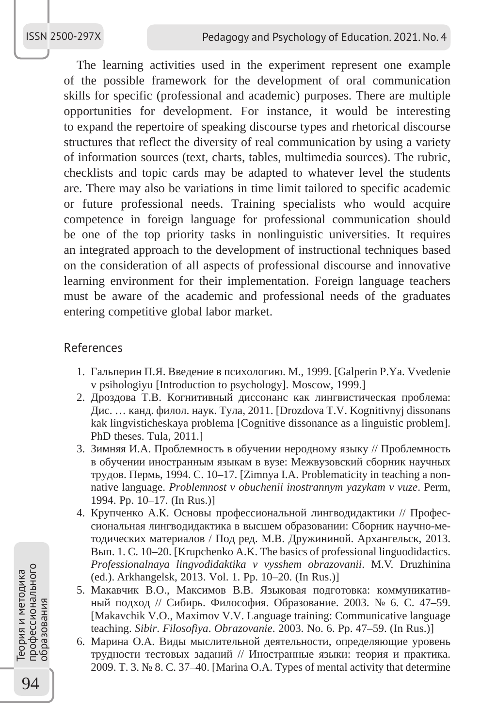The learning activities used in the experiment represent one example of the possible framework for the development of oral communication skills for specific (professional and academic) purposes. There are multiple opportunities for development. For instance, it would be interesting to expand the repertoire of speaking discourse types and rhetorical discourse structures that reflect the diversity of real communication by using a variety of information sources (text, charts, tables, multimedia sources). The rubric, checklists and topic cards may be adapted to whatever level the students are. There may also be variations in time limit tailored to specific academic or future professional needs. Training specialists who would acquire competence in foreign language for professional communication should be one of the top priority tasks in nonlinguistic universities. It requires an integrated approach to the development of instructional techniques based on the consideration of all aspects of professional discourse and innovative learning environment for their implementation. Foreign language teachers must be aware of the academic and professional needs of the graduates entering competitive global labor market.

### References

- 1. Гальперин П.Я. Введение в психологию. М., 1999. [Galperin P.Ya. Vvedenie v psihologiyu [Introduction to psychology]. Moscow, 1999.]
- 2. Дроздова Т.В. Когнитивный диссонанс как лингвистическая проблема: Дис. … канд. филол. наук. Тула, 2011. [Drozdova T.V. Kognitivnyj dissonans kak lingvisticheskaya problema [Cognitive dissonance as a linguistic problem]. PhD theses. Tula, 2011.]
- 3. Зимняя И.А. Проблемность в обучении неродному языку // Проблемность в обучении иностранным языкам в вузе: Межвузовский сборник научных трудов. Пермь, 1994. С. 10–17. [Zimnya I.A. Problematicity in teaching a nonnative language. *Problemnost v obuchenii inostrannym yazykam v vuze*. Perm, 1994. Pp. 10–17. (In Rus.)]
- 4. Крупченко А.К. Основы профессиональной лингводидактики // Профессиональная лингводидактика в высшем образовании: Сборник научно-методических материалов / Под ред. М.В. Дружининой. Архангельск, 2013. Вып. 1. C. 10–20. [Krupchenko A.K. The basics of professional linguodidactics. *Professionalnaya lingvodidaktika v vysshem obrazovanii*. M.V. Druzhinina (ed.). Arkhangelsk, 2013. Vol. 1. Pp. 10–20. (In Rus.)]
- 5. Макавчик В.О., Максимов В.В. Языковая подготовка: коммуникативный подход // Сибирь. Философия. Образование. 2003. № 6. С. 47–59. [Makavchik V.O., Maximov V.V. Language training: Communicative language teaching. *Sibir*. *Filosofiya*. *Obrazovanie*. 2003. No. 6. Pp. 47–59. (In Rus.)]
- 6. Марина О.А. Виды мыслительной деятельности, определяющие уровень трудности тестовых заданий // Иностранные языки: теория и практика. 2009. Т. 3. № 8. С. 37–40. [Marina O.A. Types of mental activity that determine

Теория и методика<br>профессионального<br>образования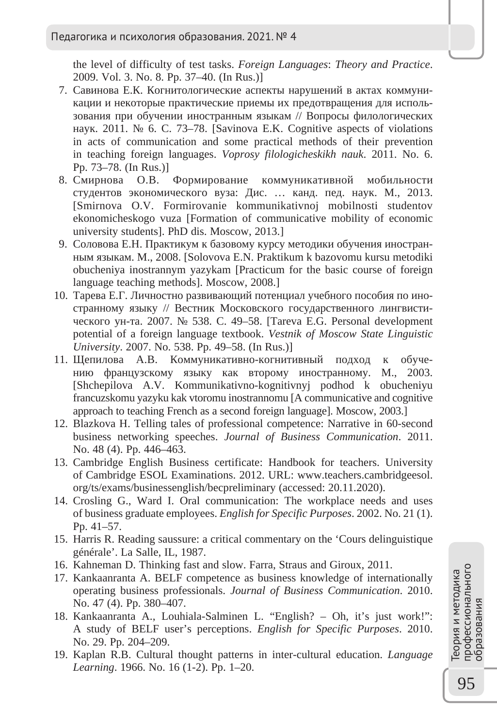the level of difficulty of test tasks. *Foreign Languages*: *Theory and Practice*. 2009. Vol. 3. No. 8. Pp. 37–40. (In Rus.)]

- 7. Савинова Е.К. Когнитологические аспекты нарушений в актах коммуникации и некоторые практические приемы их предотвращения для использования при обучении иностранным языкам // Вопросы филологических наук. 2011. № 6. С. 73–78. [Savinova E.K. Cognitive aspects of violations in acts of communication and some practical methods of their prevention in teaching foreign languages. *Voprosy filologicheskikh nauk*. 2011. No. 6. Pp. 73–78. (In Rus.)]
- 8. Смирнова О.В. Формирование коммуникативной мобильности студентов экономического вуза: Дис. … канд. пед. наук. М., 2013. [Smirnova O.V. Formirovanie kommunikativnoj mobilnosti studentov ekonomicheskogo vuza [Formation of communicative mobility of economic university students]. PhD dis. Moscow, 2013.]
- 9. Соловова Е.Н. Практикум к базовому курсу методики обучения иностранным языкам. M., 2008. [Solovova E.N. Praktikum k bazovomu kursu metodiki obucheniya inostrannym yazykam [Practicum for the basic course of foreign language teaching methods]. Moscow, 2008.]
- 10. Тарева Е.Г. Личностно развивающий потенциал учебного пособия по иностранному языку // Вестник Московского государственного лингвистического ун-та. 2007. № 538. С. 49–58. [Tareva E.G. Personal development potential of a foreign language textbook. *Vestnik of Moscow State Linguistic University*. 2007. No. 538. Pp. 49–58. (In Rus.)]
- 11. Щепилова А.В. Коммуникативно-когнитивный подход к обучению французскому языку как второму иностранному. М., 2003. [Shchepilova A.V. Kommunikativno-kognitivnyj podhod k obucheniyu francuzskomu yazyku kak vtoromu inostrannomu [A communicative and cognitive approach to teaching French as a second foreign language]. Moscow, 2003.]
- 12. Blazkova H. Telling tales of professional competence: Narrative in 60-second business networking speeches. *Journal of Business Communication*. 2011. No. 48 (4). Pp. 446–463.
- 13. Cambridge English Business certificate: Handbook for teachers. University of Cambridge ESOL Examinations. 2012. URL: www.teachers.cambridgeesol. org/ts/exams/businessenglish/becpreliminary (accessed: 20.11.2020).
- 14. Crosling G., Ward I. Oral communication: The workplace needs and uses of business graduate employees. *English for Specific Purposes*. 2002. No. 21 (1). Pp. 41–57.
- 15. Harris R. Reading saussure: a critical commentary on the 'Cours delinguistique générale'. La Salle, IL, 1987.
- 16. Kahneman D. Thinking fast and slow. Farra, Straus and Giroux, 2011.
- 17. Kankaanranta A. BELF competence as business knowledge of internationally operating business professionals. *Journal of Business Communication*. 2010. No. 47 (4). Pp. 380–407.
- 18. Kankaanranta A., Louhiala-Salminen L. "English? Oh, it's just work!": A study of BELF user's perceptions. *English for Specific Purposes*. 2010. No. 29. Pp. 204–209.
- 19. Kaplan R.B. Cultural thought patterns in inter-cultural education. *Language Learning*. 1966. No. 16 (1-2). Pp. 1–20.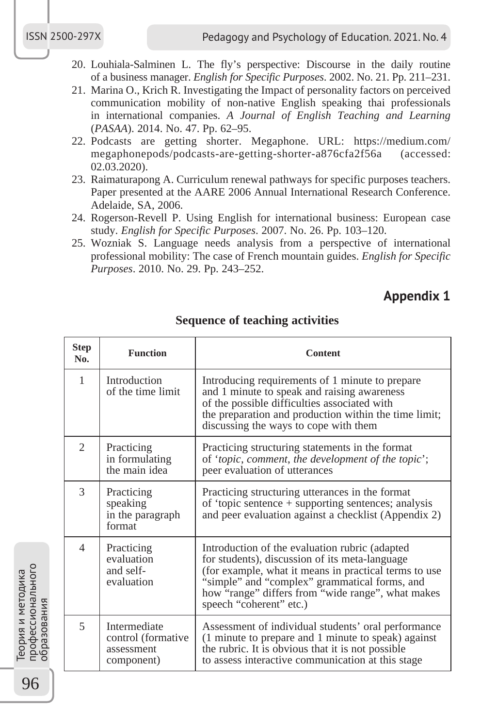- 20. Louhiala-Salminen L. The fly's perspective: Discourse in the daily routine of a business manager. *English for Specific Purposes*. 2002. No. 21. Pp. 211–231.
- 21. Marina O., Krich R. Investigating the Impact of personality factors on perceived communication mobility of non-native English speaking thai professionals in international companies. *A Journal of English Teaching and Learning*  (*PASAA*). 2014. No. 47. Pp. 62–95.
- 22. Podcasts are getting shorter. Megaphone. URL: https://medium.com/ megaphonepods/podcasts-are-getting-shorter-a876cfa2f56a (accessed: 02.03.2020).
- 23. Raimaturapong A. Curriculum renewal pathways for specific purposes teachers. Paper presented at the AARE 2006 Annual International Research Conference. Adelaide, SA, 2006.
- 24. Rogerson-Revell P. Using English for international business: European case study. *English for Specific Purposes*. 2007. No. 26. Pp. 103–120.
- 25. Wozniak S. Language needs analysis from a perspective of international professional mobility: The case of French mountain guides. *English for Specific Purposes*. 2010. No. 29. Pp. 243–252.

## **Appendix 1**

| <b>Step</b><br>No. | <b>Function</b>                                                       | Content                                                                                                                                                                                                                                                                                    |  |
|--------------------|-----------------------------------------------------------------------|--------------------------------------------------------------------------------------------------------------------------------------------------------------------------------------------------------------------------------------------------------------------------------------------|--|
| $\mathbf{1}$       | Introduction<br>of the time limit                                     | Introducing requirements of 1 minute to prepare<br>and 1 minute to speak and raising awareness<br>of the possible difficulties associated with<br>the preparation and production within the time limit;<br>discussing the ways to cope with them                                           |  |
| $\overline{2}$     | Practicing<br>in formulating<br>the main idea                         | Practicing structuring statements in the format<br>of 'topic, comment, the development of the topic';<br>peer evaluation of utterances                                                                                                                                                     |  |
| 3                  | Practicing<br>speaking<br>in the paragraph<br>format                  | Practicing structuring utterances in the format<br>of 'topic sentence + supporting sentences; analysis<br>and peer evaluation against a checklist (Appendix 2)                                                                                                                             |  |
| 4                  | Practicing<br>evaluation<br>and self-<br>evaluation                   | Introduction of the evaluation rubric (adapted<br>for students), discussion of its meta-language<br>(for example, what it means in practical terms to use<br>"simple" and "complex" grammatical forms, and<br>how "range" differs from "wide range", what makes<br>speech "coherent" etc.) |  |
| 5                  | <b>Intermediate</b><br>control (formative<br>assessment<br>component) | Assessment of individual students' oral performance<br>(1 minute to prepare and 1 minute to speak) against<br>the rubric. It is obvious that it is not possible<br>to assess interactive communication at this stage                                                                       |  |

**Sequence of teaching activities**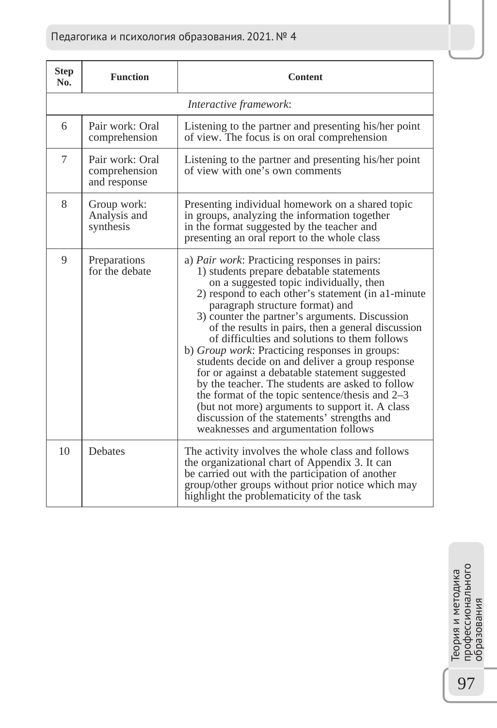## Педагогика и психология образования. 2021. № 4

| <b>Step</b><br>No. | <b>Function</b>                                  | <b>Content</b>                                                                                                                                                                                                                                                                                                                                                                                                                                                                                                                                                                                                                                                                                                                                                                                                |  |
|--------------------|--------------------------------------------------|---------------------------------------------------------------------------------------------------------------------------------------------------------------------------------------------------------------------------------------------------------------------------------------------------------------------------------------------------------------------------------------------------------------------------------------------------------------------------------------------------------------------------------------------------------------------------------------------------------------------------------------------------------------------------------------------------------------------------------------------------------------------------------------------------------------|--|
|                    | Interactive framework:                           |                                                                                                                                                                                                                                                                                                                                                                                                                                                                                                                                                                                                                                                                                                                                                                                                               |  |
| 6                  | Pair work: Oral<br>comprehension                 | Listening to the partner and presenting his/her point<br>of view. The focus is on oral comprehension                                                                                                                                                                                                                                                                                                                                                                                                                                                                                                                                                                                                                                                                                                          |  |
| 7                  | Pair work: Oral<br>comprehension<br>and response | Listening to the partner and presenting his/her point<br>of view with one's own comments                                                                                                                                                                                                                                                                                                                                                                                                                                                                                                                                                                                                                                                                                                                      |  |
| 8                  | Group work:<br>Analysis and<br>synthesis         | Presenting individual homework on a shared topic<br>in groups, analyzing the information together<br>in the format suggested by the teacher and<br>presenting an oral report to the whole class                                                                                                                                                                                                                                                                                                                                                                                                                                                                                                                                                                                                               |  |
| 9                  | Preparations<br>for the debate                   | a) <i>Pair work</i> : Practicing responses in pairs:<br>1) students prepare debatable statements<br>on a suggested topic individually, then<br>2) respond to each other's statement (in a1-minute<br>paragraph structure format) and<br>3) counter the partner's arguments. Discussion<br>of the results in pairs, then a general discussion<br>of difficulties and solutions to them follows<br>b) <i>Group work</i> : Practicing responses in groups:<br>students decide on and deliver a group response<br>for or against a debatable statement suggested<br>by the teacher. The students are asked to follow<br>the format of the topic sentence/thesis and 2–3<br>(but not more) arguments to support it. A class<br>discussion of the statements' strengths and<br>weaknesses and argumentation follows |  |
| 10                 | <b>Debates</b>                                   | The activity involves the whole class and follows<br>the organizational chart of Appendix 3. It can<br>be carried out with the participation of another<br>group/other groups without prior notice which may<br>highlight the problematicity of the task                                                                                                                                                                                                                                                                                                                                                                                                                                                                                                                                                      |  |

Теория и методика<br>профессионального<br>образования профессионального Теория и методика образования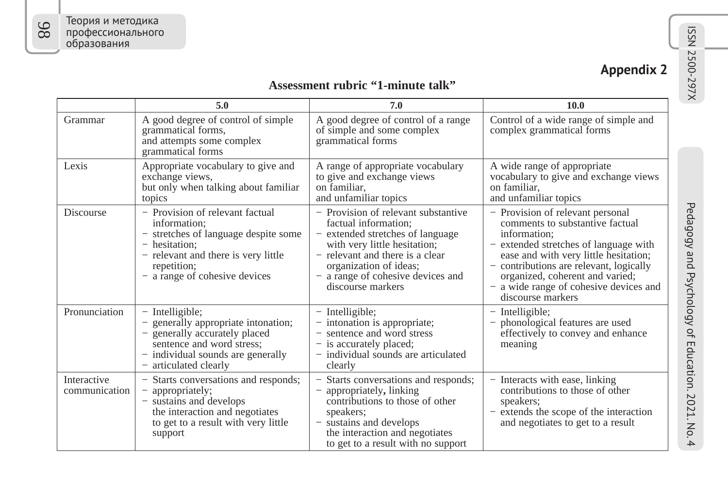| pendix |  |
|--------|--|
|        |  |

# ISSN 2500-297X **Appendix 2 Assessment rubric "1-minute talk"**

|                              | 5.0                                                                                                                                                                                           | 7.0                                                                                                                                                                                                                                                    | 10.0                                                                                                                                                                                                                                                                                                               |
|------------------------------|-----------------------------------------------------------------------------------------------------------------------------------------------------------------------------------------------|--------------------------------------------------------------------------------------------------------------------------------------------------------------------------------------------------------------------------------------------------------|--------------------------------------------------------------------------------------------------------------------------------------------------------------------------------------------------------------------------------------------------------------------------------------------------------------------|
| Grammar                      | A good degree of control of simple<br>grammatical forms,<br>and attempts some complex<br>grammatical forms                                                                                    | A good degree of control of a range<br>of simple and some complex<br>grammatical forms                                                                                                                                                                 | Control of a wide range of simple and<br>complex grammatical forms                                                                                                                                                                                                                                                 |
| Lexis                        | Appropriate vocabulary to give and<br>exchange views,<br>but only when talking about familiar<br>topics                                                                                       | A range of appropriate vocabulary<br>to give and exchange views<br>on familiar.<br>and unfamiliar topics                                                                                                                                               | A wide range of appropriate<br>vocabulary to give and exchange views<br>on familiar.<br>and unfamiliar topics                                                                                                                                                                                                      |
| <b>Discourse</b>             | - Provision of relevant factual<br>information:<br>- stretches of language despite some<br>- hesitation:<br>relevant and there is very little<br>repetition;<br>- a range of cohesive devices | - Provision of relevant substantive<br>factual information;<br>- extended stretches of language<br>with very little hesitation;<br>- relevant and there is a clear<br>organization of ideas;<br>- a range of cohesive devices and<br>discourse markers | - Provision of relevant personal<br>comments to substantive factual<br>information:<br>- extended stretches of language with<br>ease and with very little hesitation;<br>- contributions are relevant, logically<br>organized, coherent and varied;<br>- a wide range of cohesive devices and<br>discourse markers |
| Pronunciation                | - Intelligible;<br>generally appropriate intonation;<br>generally accurately placed<br>sentence and word stress;<br>- individual sounds are generally<br>articulated clearly                  | - Intelligible;<br>- intonation is appropriate;<br>sentence and word stress<br>- is accurately placed;<br>- individual sounds are articulated<br>clearly                                                                                               | - Intelligible;<br>phonological features are used<br>effectively to convey and enhance<br>meaning                                                                                                                                                                                                                  |
| Interactive<br>communication | - Starts conversations and responds;<br>appropriately;<br>- sustains and develops<br>the interaction and negotiates<br>to get to a result with very little<br>support                         | Starts conversations and responds;<br>appropriately, linking<br>contributions to those of other<br>speakers;<br>- sustains and develops<br>the interaction and negotiates<br>to get to a result with no support                                        | - Interacts with ease, linking<br>contributions to those of other<br>speakers;<br>- extends the scope of the interaction<br>and negotiates to get to a result                                                                                                                                                      |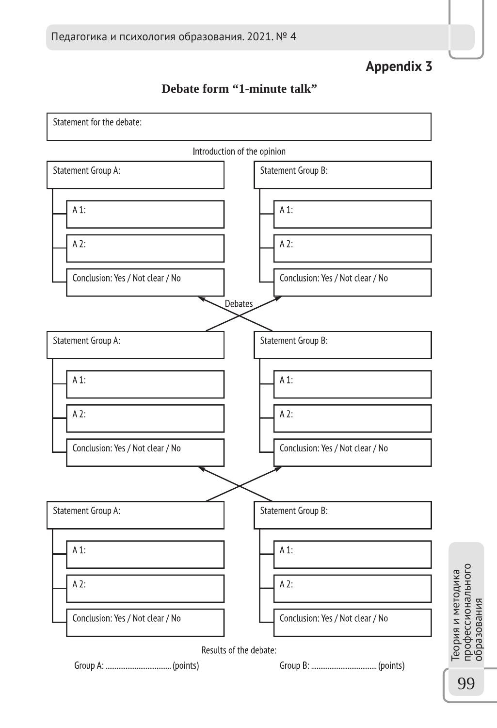**Appendix 3**



## **Debate form "1-minute talk"**

99

профессионального образования